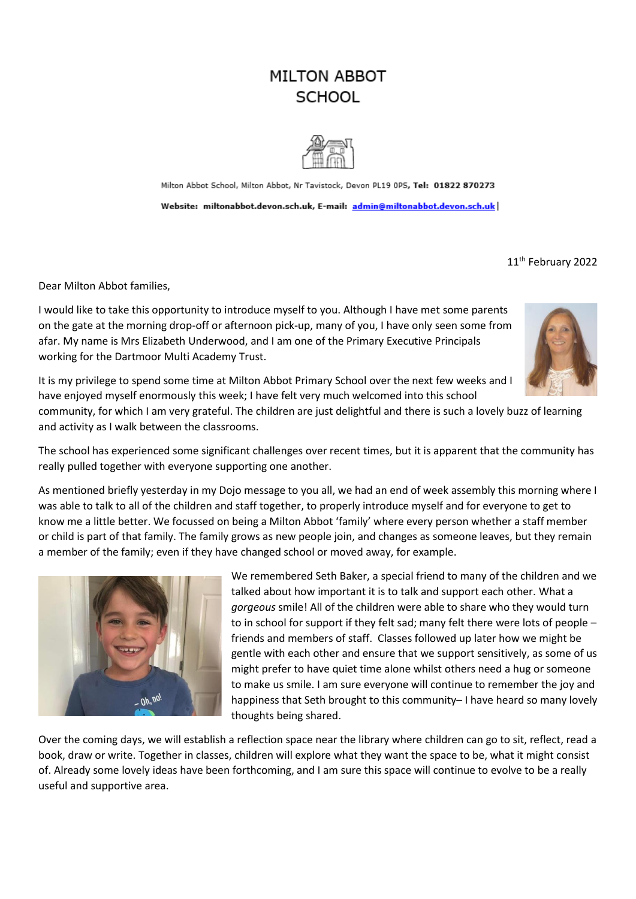# **MILTON ABBOT SCHOOL**



Milton Abbot School, Milton Abbot, Nr Tavistock, Devon PL19 0PS, Tel: 01822 870273 Website: miltonabbot.devon.sch.uk, E-mail: admin@miltonabbot.devon.sch.uk

11<sup>th</sup> February 2022

Dear Milton Abbot families,

I would like to take this opportunity to introduce myself to you. Although I have met some parents on the gate at the morning drop-off or afternoon pick-up, many of you, I have only seen some from afar. My name is Mrs Elizabeth Underwood, and I am one of the Primary Executive Principals working for the Dartmoor Multi Academy Trust.



It is my privilege to spend some time at Milton Abbot Primary School over the next few weeks and I have enjoyed myself enormously this week; I have felt very much welcomed into this school

community, for which I am very grateful. The children are just delightful and there is such a lovely buzz of learning and activity as I walk between the classrooms.

The school has experienced some significant challenges over recent times, but it is apparent that the community has really pulled together with everyone supporting one another.

As mentioned briefly yesterday in my Dojo message to you all, we had an end of week assembly this morning where I was able to talk to all of the children and staff together, to properly introduce myself and for everyone to get to know me a little better. We focussed on being a Milton Abbot 'family' where every person whether a staff member or child is part of that family. The family grows as new people join, and changes as someone leaves, but they remain a member of the family; even if they have changed school or moved away, for example.



We remembered Seth Baker, a special friend to many of the children and we talked about how important it is to talk and support each other. What a *gorgeous* smile! All of the children were able to share who they would turn to in school for support if they felt sad; many felt there were lots of people – friends and members of staff. Classes followed up later how we might be gentle with each other and ensure that we support sensitively, as some of us might prefer to have quiet time alone whilst others need a hug or someone to make us smile. I am sure everyone will continue to remember the joy and happiness that Seth brought to this community– I have heard so many lovely thoughts being shared.

Over the coming days, we will establish a reflection space near the library where children can go to sit, reflect, read a book, draw or write. Together in classes, children will explore what they want the space to be, what it might consist of. Already some lovely ideas have been forthcoming, and I am sure this space will continue to evolve to be a really useful and supportive area.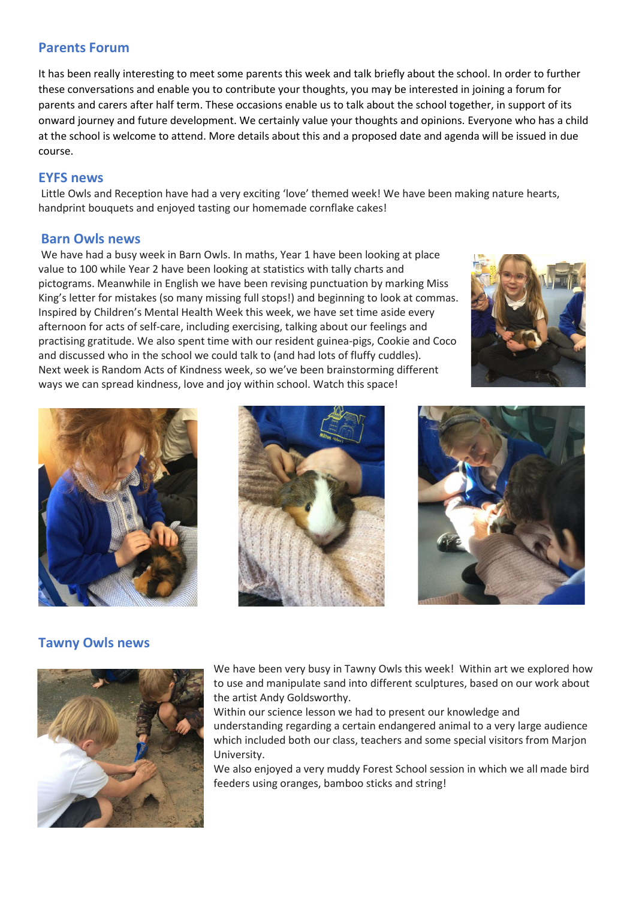### **Parents Forum**

It has been really interesting to meet some parents this week and talk briefly about the school. In order to further these conversations and enable you to contribute your thoughts, you may be interested in joining a forum for parents and carers after half term. These occasions enable us to talk about the school together, in support of its onward journey and future development. We certainly value your thoughts and opinions. Everyone who has a child at the school is welcome to attend. More details about this and a proposed date and agenda will be issued in due course.

### **EYFS news**

Little Owls and Reception have had a very exciting 'love' themed week! We have been making nature hearts, handprint bouquets and enjoyed tasting our homemade cornflake cakes!

### **Barn Owls news**

We have had a busy week in Barn Owls. In maths, Year 1 have been looking at place value to 100 while Year 2 have been looking at statistics with tally charts and pictograms. Meanwhile in English we have been revising punctuation by marking Miss King's letter for mistakes (so many missing full stops!) and beginning to look at commas. Inspired by Children's Mental Health Week this week, we have set time aside every afternoon for acts of self-care, including exercising, talking about our feelings and practising gratitude. We also spent time with our resident guinea-pigs, Cookie and Coco and discussed who in the school we could talk to (and had lots of fluffy cuddles). Next week is Random Acts of Kindness week, so we've been brainstorming different ways we can spread kindness, love and joy within school. Watch this space!









# **Tawny Owls news**



We have been very busy in Tawny Owls this week! Within art we explored how to use and manipulate sand into different sculptures, based on our work about the artist Andy Goldsworthy.

Within our science lesson we had to present our knowledge and understanding regarding a certain endangered animal to a very large audience which included both our class, teachers and some special visitors from Marjon University.

We also enjoyed a very muddy Forest School session in which we all made bird feeders using oranges, bamboo sticks and string!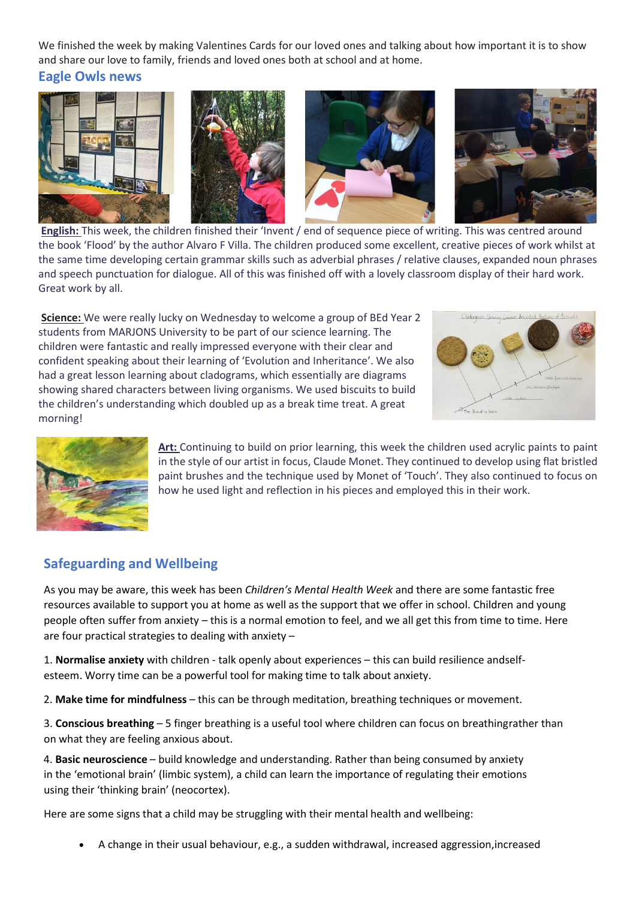We finished the week by making Valentines Cards for our loved ones and talking about how important it is to show and share our love to family, friends and loved ones both at school and at home.

**Eagle Owls news**



**English:** This week, the children finished their 'Invent / end of sequence piece of writing. This was centred around the book 'Flood' by the author Alvaro F Villa. The children produced some excellent, creative pieces of work whilst at the same time developing certain grammar skills such as adverbial phrases / relative clauses, expanded noun phrases and speech punctuation for dialogue. All of this was finished off with a lovely classroom display of their hard work. Great work by all.

**Science:** We were really lucky on Wednesday to welcome a group of BEd Year 2 students from MARJONS University to be part of our science learning. The children were fantastic and really impressed everyone with their clear and confident speaking about their learning of 'Evolution and Inheritance'. We also had a great lesson learning about cladograms, which essentially are diagrams showing shared characters between living organisms. We used biscuits to build the children's understanding which doubled up as a break time treat. A great morning!





**Art:** Continuing to build on prior learning, this week the children used acrylic paints to paint in the style of our artist in focus, Claude Monet. They continued to develop using flat bristled paint brushes and the technique used by Monet of 'Touch'. They also continued to focus on how he used light and reflection in his pieces and employed this in their work.

# **Safeguarding and Wellbeing**

As you may be aware, this week has been *Children's Mental Health Week* and there are some fantastic free resources available to support you at home as well as the support that we offer in school. Children and young people often suffer from anxiety – this is a normal emotion to feel, and we all get this from time to time. Here are four practical strategies to dealing with anxiety –

1. **Normalise anxiety** with children - talk openly about experiences – this can build resilience andselfesteem. Worry time can be a powerful tool for making time to talk about anxiety.

2. **Make time for mindfulness** – this can be through meditation, breathing techniques or movement.

3. **Conscious breathing** – 5 finger breathing is a useful tool where children can focus on breathingrather than on what they are feeling anxious about.

4. **Basic neuroscience** – build knowledge and understanding. Rather than being consumed by anxiety in the 'emotional brain' (limbic system), a child can learn the importance of regulating their emotions using their 'thinking brain' (neocortex).

Here are some signs that a child may be struggling with their mental health and wellbeing:

• A change in their usual behaviour, e.g., a sudden withdrawal, increased aggression,increased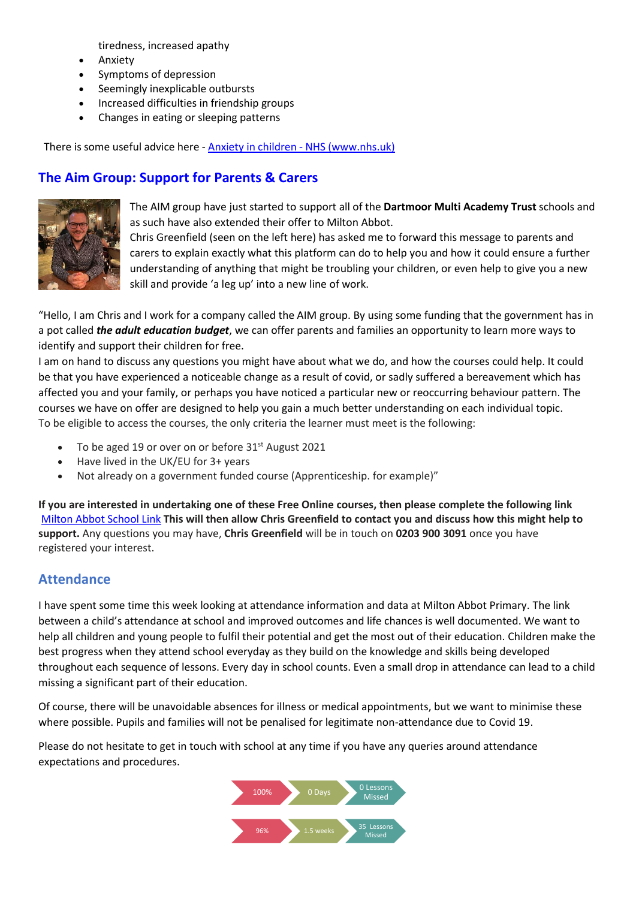tiredness, increased apathy

- Anxiety
- Symptoms of depression
- Seemingly inexplicable outbursts
- Increased difficulties in friendship groups
- Changes in eating or sleeping patterns

There is some useful advice here - Anxiety in children - NHS [\(www.nhs.uk\)](https://www.nhs.uk/mental-health/children-and-young-adults/advice-for-parents/anxiety-in-children/)

# **The Aim Group: Support for Parents & Carers**



The AIM group have just started to support all of the **Dartmoor Multi Academy Trust** schools and as such have also extended their offer to Milton Abbot.

Chris Greenfield (seen on the left here) has asked me to forward this message to parents and carers to explain exactly what this platform can do to help you and how it could ensure a further understanding of anything that might be troubling your children, or even help to give you a new skill and provide 'a leg up' into a new line of work.

"Hello, I am Chris and I work for a company called the AIM group. By using some funding that the government has in a pot called *the adult education budget*, we can offer parents and families an opportunity to learn more ways to identify and support their children for free.

I am on hand to discuss any questions you might have about what we do, and how the courses could help. It could be that you have experienced a noticeable change as a result of covid, or sadly suffered a bereavement which has affected you and your family, or perhaps you have noticed a particular new or reoccurring behaviour pattern. The courses we have on offer are designed to help you gain a much better understanding on each individual topic. To be eligible to access the courses, the only criteria the learner must meet is the following:

- To be aged 19 or over on or before 31<sup>st</sup> August 2021
- Have lived in the UK/EU for 3+ years
- Not already on a government funded course (Apprenticeship. for example)"

If you are interested in undertaking one of these Free Online courses, then please complete the following link [Milton](https://eur03.safelinks.protection.outlook.com/?url=https%3A%2F%2Flinkprotect.cudasvc.com%2Furl%3Fa%3Dhttps%253a%252f%252ftheaimgroup.co.uk%252fbooking-form%252f0014J00000gdxkN%26c%3DE%2C1%2CbOgrT4enr4nfURUmC2SkBGZ-DBA7VqvMl7SvMS8pWz0o6s-cdeFe4UNnnYKo8GGeXB_wu5hbGVezbjO2EGtAPc1HhvABvO2txMTw4rrttGzpkd7h-Xeu0lOuxas%2C%26typo%3D1&data=04%7C01%7Ceunderwood%40dmatschools.org.uk%7Cabebc9ed0c404eb546e908d9eb1d4c91%7C3b076d9078b24abd9e05c20f26289c46%7C0%7C0%7C637799333363154807%7CUnknown%7CTWFpbGZsb3d8eyJWIjoiMC4wLjAwMDAiLCJQIjoiV2luMzIiLCJBTiI6Ik1haWwiLCJXVCI6Mn0%3D%7C3000&sdata=2dwDLduacK4DyZH3uihQm0AJMsfuFMcy8THmLqiwePA%3D&reserved=0) Abbot School Link **This will then allow Chris Greenfield to contact you and discuss how this might help to support.** Any questions you may have, **Chris Greenfield** will be in touch on **0203 900 3091** once you have registered your interest.

### **Attendance**

I have spent some time this week looking at attendance information and data at Milton Abbot Primary. The link between a child's attendance at school and improved outcomes and life chances is well documented. We want to help all children and young people to fulfil their potential and get the most out of their education. Children make the best progress when they attend school everyday as they build on the knowledge and skills being developed throughout each sequence of lessons. Every day in school counts. Even a small drop in attendance can lead to a child missing a significant part of their education.

Of course, there will be unavoidable absences for illness or medical appointments, but we want to minimise these where possible. Pupils and families will not be penalised for legitimate non-attendance due to Covid 19.

Please do not hesitate to get in touch with school at any time if you have any queries around attendance expectations and procedures.